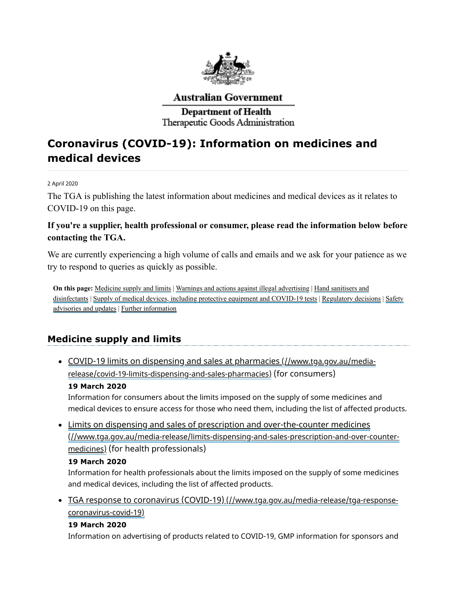

# **Australian Government**

# **Department of Health** Therapeutic Goods Administration

# **Coronavirus (COVID-19): Information on medicines and medical devices**

#### 2 April 2020

The TGA is publishing the latest information about medicines and medical devices as it relates to COVID-19 on this page.

# **If you're a supplier, health professional or consumer, please read the information below before contacting the TGA.**

We are currently experiencing a high volume of calls and emails and we ask for your patience as we try to respond to queries as quickly as possible.

**On this page:** [Medicine](#page-0-0) supply and limits | Warnings and actions against illegal [advertising](#page-1-0) | Hand sanitisers and [disinfectants](#page-1-1) | Supply of medical devices, including protective equipment and [COVID-19](#page-2-0) tests | [Regulatory](#page-3-0) decisions | Safety advisories and updates | Further [information](#page-4-0)

# <span id="page-0-0"></span>**Medicine supply and limits**

COVID-19 limits on dispensing and sales at pharmacies (//www.tga.gov.au/media[release/covid-19-limits-dispensing-and-sales-pharmacies\)](https://www.tga.gov.au/media-release/covid-19-limits-dispensing-and-sales-pharmacies) (for consumers)

#### **19 March 2020**

Information for consumers about the limits imposed on the supply of some medicines and medical devices to ensure access for those who need them, including the list of affected products.

Limits on dispensing and sales of prescription and over-the-counter medicines [\(//www.tga.gov.au/media-release/limits-dispensing-and-sales-prescription-and-over-counter](https://www.tga.gov.au/media-release/limits-dispensing-and-sales-prescription-and-over-counter-medicines)medicines) (for health professionals)

#### **19 March 2020**

Information for health professionals about the limits imposed on the supply of some medicines and medical devices, including the list of affected products.

TGA response to coronavirus (COVID-19) [\(//www.tga.gov.au/media-release/tga-response](https://www.tga.gov.au/media-release/tga-response-coronavirus-covid-19)coronavirus-covid-19)

#### **19 March 2020**

Information on advertising of products related to COVID-19, GMP information for sponsors and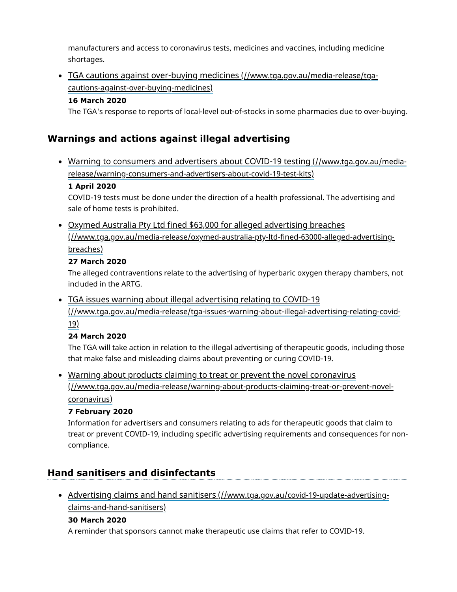manufacturers and access to coronavirus tests, medicines and vaccines, including medicine shortages.

# TGA cautions against over-buying medicines (//www.tga.gov.au/media-release/tga[cautions-against-over-buying-medicines\)](https://www.tga.gov.au/media-release/tga-cautions-against-over-buying-medicines)

### **16 March 2020**

The TGA's response to reports of local-level out-of-stocks in some pharmacies due to over-buying.

# <span id="page-1-0"></span>**Warnings and actions against illegal advertising**

Warning to consumers and advertisers about COVID-19 testing (//www.tga.gov.au/media[release/warning-consumers-and-advertisers-about-covid-19-test-kits\)](https://www.tga.gov.au/media-release/warning-consumers-and-advertisers-about-covid-19-test-kits)

#### **1 April 2020**

COVID-19 tests must be done under the direction of a health professional. The advertising and sale of home tests is prohibited.

Oxymed Australia Pty Ltd fined \$63,000 for alleged advertising breaches [\(//www.tga.gov.au/media-release/oxymed-australia-pty-ltd-fined-63000-alleged-advertising](https://www.tga.gov.au/media-release/oxymed-australia-pty-ltd-fined-63000-alleged-advertising-breaches)breaches)

### **27 March 2020**

The alleged contraventions relate to the advertising of hyperbaric oxygen therapy chambers, not included in the ARTG.

• TGA issues warning about illegal advertising relating to COVID-19 [\(//www.tga.gov.au/media-release/tga-issues-warning-about-illegal-advertising-relating-covid-](https://www.tga.gov.au/media-release/tga-issues-warning-about-illegal-advertising-relating-covid-19)19)

### **24 March 2020**

The TGA will take action in relation to the illegal advertising of therapeutic goods, including those that make false and misleading claims about preventing or curing COVID-19.

• Warning about products claiming to treat or prevent the novel coronavirus [\(//www.tga.gov.au/media-release/warning-about-products-claiming-treat-or-prevent-novel](https://www.tga.gov.au/media-release/warning-about-products-claiming-treat-or-prevent-novel-coronavirus)coronavirus)

### **7 February 2020**

Information for advertisers and consumers relating to ads for therapeutic goods that claim to treat or prevent COVID-19, including specific advertising requirements and consequences for noncompliance.

# <span id="page-1-1"></span>**Hand sanitisers and disinfectants**

Advertising claims and hand sanitisers [\(//www.tga.gov.au/covid-19-update-advertising](https://www.tga.gov.au/covid-19-update-advertising-claims-and-hand-sanitisers)claims-and-hand-sanitisers)

### **30 March 2020**

A reminder that sponsors cannot make therapeutic use claims that refer to COVID-19.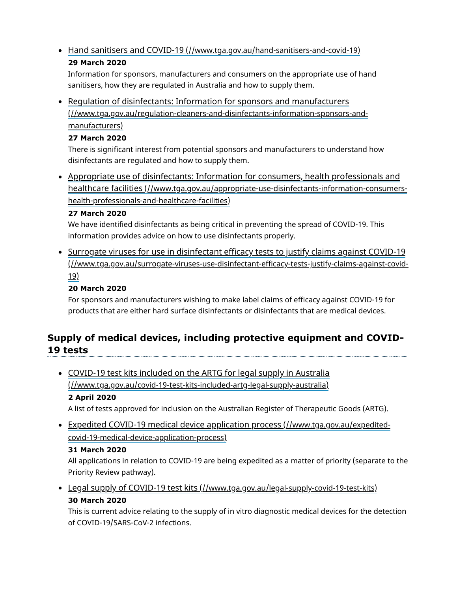• Hand sanitisers and COVID-19 [\(//www.tga.gov.au/hand-sanitisers-and-covid-19\)](https://www.tga.gov.au/hand-sanitisers-and-covid-19) **29 March 2020**

Information for sponsors, manufacturers and consumers on the appropriate use of hand sanitisers, how they are regulated in Australia and how to supply them.

• Requlation of disinfectants: Information for sponsors and manufacturers [\(//www.tga.gov.au/regulation-cleaners-and-disinfectants-information-sponsors-and](https://www.tga.gov.au/regulation-cleaners-and-disinfectants-information-sponsors-and-manufacturers)manufacturers)

#### **27 March 2020**

There is significant interest from potential sponsors and manufacturers to understand how disinfectants are regulated and how to supply them.

Appropriate use of disinfectants: Information for consumers, health professionals and healthcare facilities [\(//www.tga.gov.au/appropriate-use-disinfectants-information-consumers](https://www.tga.gov.au/appropriate-use-disinfectants-information-consumers-health-professionals-and-healthcare-facilities)health-professionals-and-healthcare-facilities)

#### **27 March 2020**

We have identified disinfectants as being critical in preventing the spread of COVID-19. This information provides advice on how to use disinfectants properly.

• Surrogate viruses for use in disinfectant efficacy tests to justify claims against COVID-19 [\(//www.tga.gov.au/surrogate-viruses-use-disinfectant-efficacy-tests-justify-claims-against-covid-](https://www.tga.gov.au/surrogate-viruses-use-disinfectant-efficacy-tests-justify-claims-against-covid-19)19)

# **20 March 2020**

For sponsors and manufacturers wishing to make label claims of efficacy against COVID-19 for products that are either hard surface disinfectants or disinfectants that are medical devices.

# <span id="page-2-0"></span>**Supply of medical devices, including protective equipment and COVID-19 tests**

• COVID-19 test kits included on the ARTG for legal supply in Australia [\(//www.tga.gov.au/covid-19-test-kits-included-artg-legal-supply-australia\)](https://www.tga.gov.au/covid-19-test-kits-included-artg-legal-supply-australia) **2 April 2020**

A list of tests approved for inclusion on the Australian Register of Therapeutic Goods (ARTG).

Expedited COVID-19 medical device application process (//www.tga.gov.au/expedited[covid-19-medical-device-application-process\)](https://www.tga.gov.au/expedited-covid-19-medical-device-application-process)

#### **31 March 2020**

All applications in relation to COVID-19 are being expedited as a matter of priority (separate to the Priority Review pathway).

• Legal supply of COVID-19 test kits [\(//www.tga.gov.au/legal-supply-covid-19-test-kits\)](https://www.tga.gov.au/legal-supply-covid-19-test-kits) **30 March 2020**

This is current advice relating to the supply of in vitro diagnostic medical devices for the detection of COVID-19/SARS-CoV-2 infections.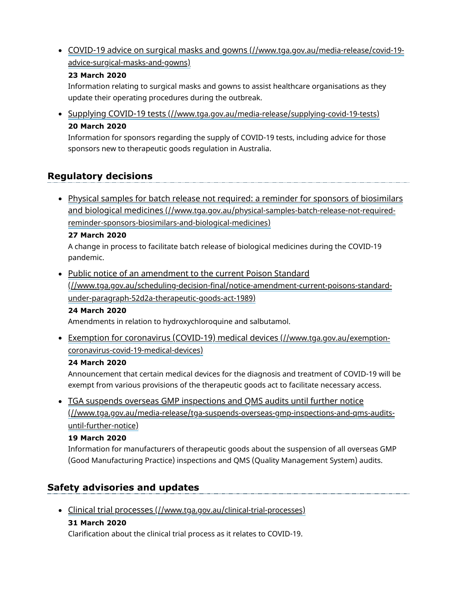COVID-19 advice on surgical masks and gowns [\(//www.tga.gov.au/media-release/covid-19](https://www.tga.gov.au/media-release/covid-19-advice-surgical-masks-and-gowns) advice-surgical-masks-and-gowns)

### **23 March 2020**

Information relating to surgical masks and gowns to assist healthcare organisations as they update their operating procedures during the outbreak.

• Supplying COVID-19 tests [\(//www.tga.gov.au/media-release/supplying-covid-19-tests\)](https://www.tga.gov.au/media-release/supplying-covid-19-tests) **20 March 2020**

Information for sponsors regarding the supply of COVID-19 tests, including advice for those sponsors new to therapeutic goods regulation in Australia.

# <span id="page-3-0"></span>**Regulatory decisions**

• Physical samples for batch release not required: a reminder for sponsors of biosimilars and biological medicines [\(//www.tga.gov.au/physical-samples-batch-release-not-required](https://www.tga.gov.au/physical-samples-batch-release-not-required-reminder-sponsors-biosimilars-and-biological-medicines)reminder-sponsors-biosimilars-and-biological-medicines)

#### **27 March 2020**

A change in process to facilitate batch release of biological medicines during the COVID-19 pandemic.

• Public notice of an amendment to the current Poison Standard [\(//www.tga.gov.au/scheduling-decision-final/notice-amendment-current-poisons-standard](https://www.tga.gov.au/scheduling-decision-final/notice-amendment-current-poisons-standard-under-paragraph-52d2a-therapeutic-goods-act-1989)under-paragraph-52d2a-therapeutic-goods-act-1989)

#### **24 March 2020**

Amendments in relation to hydroxychloroquine and salbutamol.

Exemption for coronavirus (COVID-19) medical devices (//www.tga.gov.au/exemption[coronavirus-covid-19-medical-devices\)](https://www.tga.gov.au/exemption-coronavirus-covid-19-medical-devices)

#### **24 March 2020**

Announcement that certain medical devices for the diagnosis and treatment of COVID-19 will be exempt from various provisions of the therapeutic goods act to facilitate necessary access.

• TGA suspends overseas GMP inspections and QMS audits until further notice [\(//www.tga.gov.au/media-release/tga-suspends-overseas-gmp-inspections-and-qms-audits](https://www.tga.gov.au/media-release/tga-suspends-overseas-gmp-inspections-and-qms-audits-until-further-notice)until-further-notice)

#### **19 March 2020**

Information for manufacturers of therapeutic goods about the suspension of all overseas GMP (Good Manufacturing Practice) inspections and QMS (Quality Management System) audits.

# <span id="page-3-1"></span>**Safety advisories and updates**

Clinical trial processes [\(//www.tga.gov.au/clinical-trial-processes\)](https://www.tga.gov.au/clinical-trial-processes)

#### **31 March 2020**

Clarification about the clinical trial process as it relates to COVID-19.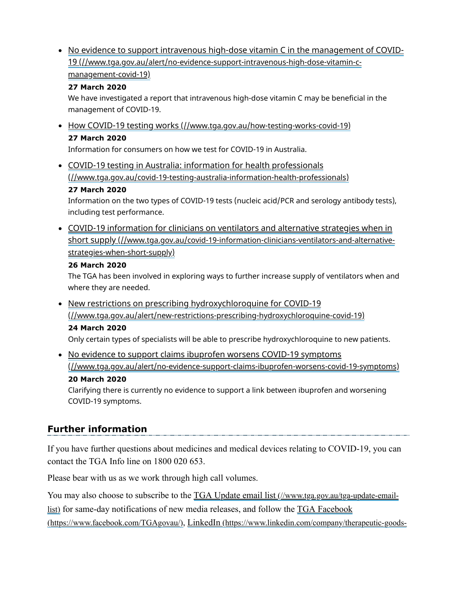• No evidence to support intravenous high-dose vitamin C in the management of COVID-19 [\(//www.tga.gov.au/alert/no-evidence-support-intravenous-high-dose-vitamin-c](https://www.tga.gov.au/alert/no-evidence-support-intravenous-high-dose-vitamin-c-management-covid-19)management-covid-19)

## **27 March 2020**

We have investigated a report that intravenous high-dose vitamin C may be beneficial in the management of COVID-19.

• How COVID-19 testing works [\(//www.tga.gov.au/how-testing-works-covid-19\)](https://www.tga.gov.au/how-testing-works-covid-19) **27 March 2020**

Information for consumers on how we test for COVID-19 in Australia.

COVID-19 testing in Australia: information for health professionals [\(//www.tga.gov.au/covid-19-testing-australia-information-health-professionals\)](https://www.tga.gov.au/covid-19-testing-australia-information-health-professionals)

# **27 March 2020**

Information on the two types of COVID-19 tests (nucleic acid/PCR and serology antibody tests), including test performance.

COVID-19 information for clinicians on ventilators and alternative strategies when in short supply [\(//www.tga.gov.au/covid-19-information-clinicians-ventilators-and-alternative](https://www.tga.gov.au/covid-19-information-clinicians-ventilators-and-alternative-strategies-when-short-supply)strategies-when-short-supply)

# **26 March 2020**

The TGA has been involved in exploring ways to further increase supply of ventilators when and where they are needed.

• New restrictions on prescribing hydroxychloroquine for COVID-19 [\(//www.tga.gov.au/alert/new-restrictions-prescribing-hydroxychloroquine-covid-19\)](https://www.tga.gov.au/alert/new-restrictions-prescribing-hydroxychloroquine-covid-19)

# **24 March 2020**

Only certain types of specialists will be able to prescribe hydroxychloroquine to new patients.

• No evidence to support claims ibuprofen worsens COVID-19 symptoms [\(//www.tga.gov.au/alert/no-evidence-support-claims-ibuprofen-worsens-covid-19-symptoms\)](https://www.tga.gov.au/alert/no-evidence-support-claims-ibuprofen-worsens-covid-19-symptoms) **20 March 2020**

Clarifying there is currently no evidence to support a link between ibuprofen and worsening COVID-19 symptoms.

# <span id="page-4-0"></span>**Further information**

If you have further questions about medicines and medical devices relating to COVID-19, you can contact the TGA Info line on 1800 020 653.

Please bear with us as we work through high call volumes.

You may also choose to subscribe to the TGA Update email list (//www.tga.gov.au/tga-update-emaillist) [for same-day notifications of new media releases, and follow the TGA Facebook](https://www.tga.gov.au/tga-update-email-list)

(https://www.facebook.com/TGAgovau/), LinkedIn [\(https://www.linkedin.com/company/therapeutic-goods-](https://www.linkedin.com/company/therapeutic-goods-administration/)